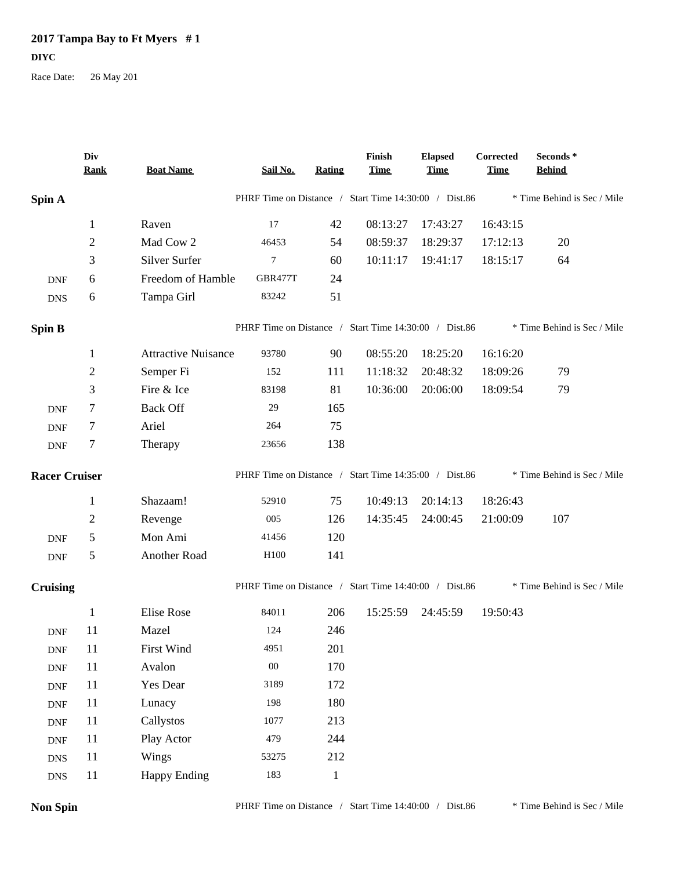## **2017 Tampa Bay to Ft Myers # 1 DIYC**

Race Date: 26 May 201

|                             | Div<br><b>Rank</b> | <b>Boat Name</b>           | Sail No.         | <b>Rating</b> | Finish<br><b>Time</b>                                 | <b>Elapsed</b><br><b>Time</b> | Corrected<br><b>Time</b>    | Seconds *<br><b>Behind</b>  |
|-----------------------------|--------------------|----------------------------|------------------|---------------|-------------------------------------------------------|-------------------------------|-----------------------------|-----------------------------|
| Spin A                      |                    |                            |                  |               | PHRF Time on Distance / Start Time 14:30:00 / Dist.86 |                               |                             | * Time Behind is Sec / Mile |
|                             | $\mathbf{1}$       | Raven                      | 17               | 42            | 08:13:27                                              | 17:43:27                      | 16:43:15                    |                             |
|                             | $\overline{2}$     | Mad Cow 2                  | 46453            | 54            | 08:59:37                                              | 18:29:37                      | 17:12:13                    | 20                          |
|                             | 3                  | Silver Surfer              | $\boldsymbol{7}$ | 60            | 10:11:17                                              | 19:41:17                      | 18:15:17                    | 64                          |
| <b>DNF</b>                  | 6                  | Freedom of Hamble          | GBR477T          | 24            |                                                       |                               |                             |                             |
| <b>DNS</b>                  | 6                  | Tampa Girl                 | 83242            | 51            |                                                       |                               |                             |                             |
| <b>Spin B</b>               |                    |                            |                  |               | PHRF Time on Distance / Start Time 14:30:00 / Dist.86 |                               |                             | * Time Behind is Sec / Mile |
|                             | $\mathbf{1}$       | <b>Attractive Nuisance</b> | 93780            | 90            | 08:55:20                                              | 18:25:20                      | 16:16:20                    |                             |
|                             | $\overline{2}$     | Semper Fi                  | 152              | 111           | 11:18:32                                              | 20:48:32                      | 18:09:26                    | 79                          |
|                             | 3                  | Fire & Ice                 | 83198            | 81            | 10:36:00                                              | 20:06:00                      | 18:09:54                    | 79                          |
| <b>DNF</b>                  | 7                  | <b>Back Off</b>            | 29               | 165           |                                                       |                               |                             |                             |
| <b>DNF</b>                  | 7                  | Ariel                      | 264              | 75            |                                                       |                               |                             |                             |
| <b>DNF</b>                  | 7                  | Therapy                    | 23656            | 138           |                                                       |                               |                             |                             |
| <b>Racer Cruiser</b>        |                    |                            |                  |               | PHRF Time on Distance / Start Time 14:35:00 / Dist.86 |                               |                             | * Time Behind is Sec / Mile |
|                             | $\mathbf{1}$       | Shazaam!                   | 52910            | 75            | 10:49:13                                              | 20:14:13                      | 18:26:43                    |                             |
|                             | $\sqrt{2}$         | Revenge                    | 005              | 126           | 14:35:45                                              | 24:00:45                      | 21:00:09                    | 107                         |
| <b>DNF</b>                  | 5                  | Mon Ami                    | 41456            | 120           |                                                       |                               |                             |                             |
| <b>DNF</b>                  | 5                  | Another Road               | H100             | 141           |                                                       |                               |                             |                             |
| <b>Cruising</b>             |                    |                            |                  |               | PHRF Time on Distance / Start Time 14:40:00 / Dist.86 |                               | * Time Behind is Sec / Mile |                             |
|                             | $\mathbf{1}$       | Elise Rose                 | 84011            | 206           | 15:25:59                                              | 24:45:59                      | 19:50:43                    |                             |
| <b>DNF</b>                  | 11                 | Mazel                      | 124              | 246           |                                                       |                               |                             |                             |
| <b>DNF</b>                  | 11                 | First Wind                 | 4951             | 201           |                                                       |                               |                             |                             |
| $\ensuremath{\mathsf{DNF}}$ | 11                 | Avalon                     | ${\bf 00}$       | 170           |                                                       |                               |                             |                             |
| $\ensuremath{\mathsf{DNF}}$ | 11                 | Yes Dear                   | 3189             | 172           |                                                       |                               |                             |                             |
| $\ensuremath{\mathsf{DNF}}$ | 11                 | Lunacy                     | 198              | 180           |                                                       |                               |                             |                             |
| <b>DNF</b>                  | 11                 | Callystos                  | 1077             | 213           |                                                       |                               |                             |                             |
| <b>DNF</b>                  | 11                 | Play Actor                 | 479              | 244           |                                                       |                               |                             |                             |
| <b>DNS</b>                  | 11                 | Wings                      | 53275            | 212           |                                                       |                               |                             |                             |
| ${\rm DNS}$                 | 11                 | <b>Happy Ending</b>        | 183              | $\mathbf{1}$  |                                                       |                               |                             |                             |